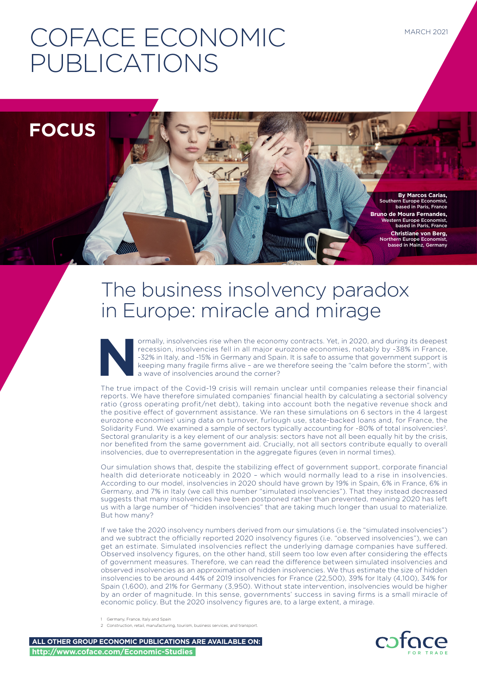# COFACE ECONOMIC PUBLICATIONS

**FOCUS**

**By Marcos Carias,**  Southern Europe Economist, based in Paris, France **Bruno de Moura Fernandes,**  Western Europe Economist, based in Paris, France  **Christiane von Berg,**  Northern Europe Economist, based in Mainz, Germany

## The business insolvency paradox in Europe: miracle and mirage

France, insolvencies rise when the economy contracts. Yet, in 2020, and during its deepest<br>recession, insolvencies fell in all major eurozone economies, notably by -38% in France,<br>-32% in Italy, and -15% in Germany and Spa recession, insolvencies fell in all major eurozone economies, notably by -38% in France, -32% in Italy, and -15% in Germany and Spain. It is safe to assume that government support is keeping many fragile firms alive – are we therefore seeing the "calm before the storm", with a wave of insolvencies around the corner?

The true impact of the Covid-19 crisis will remain unclear until companies release their financial reports. We have therefore simulated companies' financial health by calculating a sectorial solvency ratio (gross operating profit/net debt), taking into account both the negative revenue shock and the positive effect of government assistance. We ran these simulations on 6 sectors in the 4 largest eurozone economies<sup>1</sup> using data on turnover, furlough use, state-backed loans and, for France, the Solidarity Fund. We examined a sample of sectors typically accounting for ~80% of total insolvencies2. Sectoral granularity is a key element of our analysis: sectors have not all been equally hit by the crisis, nor benefited from the same government aid. Crucially, not all sectors contribute equally to overall insolvencies, due to overrepresentation in the aggregate figures (even in normal times).

Our simulation shows that, despite the stabilizing effect of government support, corporate financial health did deteriorate noticeably in 2020 – which would normally lead to a rise in insolvencies. According to our model, insolvencies in 2020 should have grown by 19% in Spain, 6% in France, 6% in Germany, and 7% in Italy (we call this number "simulated insolvencies"). That they instead decreased suggests that many insolvencies have been postponed rather than prevented, meaning 2020 has left us with a large number of "hidden insolvencies" that are taking much longer than usual to materialize. But how many?

If we take the 2020 insolvency numbers derived from our simulations (i.e. the "simulated insolvencies") and we subtract the officially reported 2020 insolvency figures (i.e. "observed insolvencies"), we can get an estimate. Simulated insolvencies reflect the underlying damage companies have suffered. Observed insolvency figures, on the other hand, still seem too low even after considering the effects of government measures. Therefore, we can read the difference between simulated insolvencies and observed insolvencies as an approximation of hidden insolvencies. We thus estimate the size of hidden insolvencies to be around 44% of 2019 insolvencies for France (22,500), 39% for Italy (4,100), 34% for Spain (1,600), and 21% for Germany (3,950). Without state intervention, insolvencies would be higher by an order of magnitude. In this sense, governments' success in saving firms is a small miracle of economic policy. But the 2020 insolvency figures are, to a large extent, a mirage.

1 Germany, France, Italy and Spain

2 Construction, retail, manufacturing, tourism, business services, and transport.

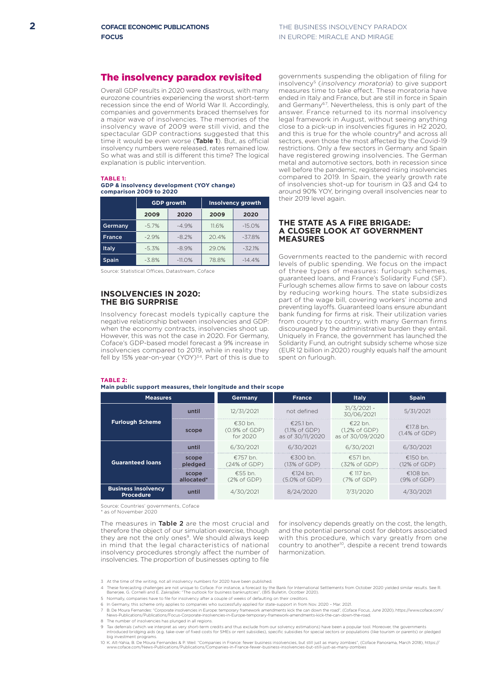#### The insolvency paradox revisited

Overall GDP results in 2020 were disastrous, with many eurozone countries experiencing the worst short-term recession since the end of World War II. Accordingly, companies and governments braced themselves for a major wave of insolvencies. The memories of the insolvency wave of 2009 were still vivid, and the spectacular GDP contractions suggested that this time it would be even worse (Table 1). But, as official insolvency numbers were released, rates remained low. So what was and still is different this time? The logical explanation is public intervention.

#### **TABLE 1: GDP & insolvency development (YOY change) comparison 2009 to 2020**

|               |         | <b>GDP growth</b> | <b>Insolvency growth</b> |          |  |
|---------------|---------|-------------------|--------------------------|----------|--|
|               | 2009    | 2020              | 2009                     | 2020     |  |
| Germany       | $-5.7%$ | $-4.9%$           | 11.6%                    | $-15.0%$ |  |
| <b>France</b> | $-2.9%$ | $-8.2%$           | 20.4%                    | $-37.8%$ |  |
| Italy         | $-5.3%$ | $-8.9%$           | 29.0%                    | $-32.1%$ |  |
| <b>Spain</b>  | $-3.8%$ | $-11.0%$          | 78.8%                    | $-14.4%$ |  |

Source: Statistical Offices, Datastream, Coface

#### **INSOLVENCIES IN 2020: THE BIG SURPRISE**

Insolvency forecast models typically capture the negative relationship between insolvencies and GDP: when the economy contracts, insolvencies shoot up. However, this was not the case in 2020. For Germany, Coface's GDP-based model forecast a 9% increase in insolvencies compared to 2019, while in reality they fell by 15% year-on-year (YOY)<sup>34</sup>. Part of this is due to

#### **TABLE 2:**

**Main public support measures, their longitude and their scope**

governments suspending the obligation of filing for insolvency<sup>5</sup> (insolvency moratoria) to give support measures time to take effect. These moratoria have ended in Italy and France, but are still in force in Spain and Germany<sup>67</sup>. Nevertheless, this is only part of the answer. France returned to its normal insolvency legal framework in August, without seeing anything close to a pick-up in insolvencies figures in H2 2020, and this is true for the whole country<sup>8</sup> and across all sectors, even those the most affected by the Covid-19 restrictions. Only a few sectors in Germany and Spain have registered growing insolvencies. The German metal and automotive sectors, both in recession since well before the pandemic, registered rising insolvencies compared to 2019. In Spain, the yearly growth rate of insolvencies shot-up for tourism in Q3 and Q4 to around 90% YOY, bringing overall insolvencies near to their 2019 level again.

#### **THE STATE AS A FIRE BRIGADE: A CLOSER LOOK AT GOVERNMENT MEASURES**

Governments reacted to the pandemic with record levels of public spending. We focus on the impact of three types of measures: furlough schemes, guaranteed loans, and France's Solidarity Fund (SF). Furlough schemes allow firms to save on labour costs by reducing working hours. The state subsidizes part of the wage bill, covering workers' income and preventing layoffs. Guaranteed loans ensure abundant bank funding for firms at risk. Their utilization varies from country to country, with many German firms discouraged by the administrative burden they entail. Uniquely in France, the government has launched the Solidarity Fund, an outright subsidy scheme whose size (EUR 12 billion in 2020) roughly equals half the amount spent on furlough.

| <b>Measures</b>                                |                     | <b>Germany</b>                         | <b>France</b>                                                       | <b>Italy</b>                                              | <b>Spain</b>                            |  |
|------------------------------------------------|---------------------|----------------------------------------|---------------------------------------------------------------------|-----------------------------------------------------------|-----------------------------------------|--|
| <b>Furlough Scheme</b>                         | until               | 12/31/2021                             | not defined                                                         | $31/3/2021 -$<br>30/06/2021                               | 5/31/2021                               |  |
|                                                | scope               | $£30$ bn.<br>(0.9% of GDP)<br>for 2020 | $\epsilon$ 25.1 bn.<br>$(1.1\% \text{ of GDP})$<br>as of 30/11/2020 | $£22$ bn.<br>$(1.2\% \text{ of GDP})$<br>as of 30/09/2020 | $£17.8$ bn.<br>$(1.4\% \text{ of GDP})$ |  |
| <b>Guaranteed loans</b>                        | until               | 6/30/2021                              | 6/30/2021                                                           | 6/30/2021                                                 | 6/30/2021                               |  |
|                                                | scope<br>pledged    | €757 bn.<br>(24% of GDP)               | $£300$ bn.<br>(13% of GDP)                                          | $£571$ bn.<br>(32% of GDP)                                | $£150$ bn.<br>$(12\% \text{ of GDP})$   |  |
|                                                | scope<br>allocated* | $£55$ bn.<br>$(2\% \text{ of GDP})$    | €124 bn.<br>(5.0% of GDP)                                           | € 117 bn.<br>(7% of GDP)                                  | $£108$ bn.<br>(9% of GDP)               |  |
| <b>Business Insolvency</b><br><b>Procedure</b> | until               | 4/30/2021                              | 8/24/2020                                                           | 7/31/2020                                                 | 4/30/2021                               |  |
|                                                |                     |                                        |                                                                     |                                                           |                                         |  |

Source: Countries' governments, Coface

as of November 2020

The measures in Table 2 are the most crucial and therefore the object of our simulation exercise, though they are not the only ones<sup>9</sup>. We should always keep in mind that the legal characteristics of national insolvency procedures strongly affect the number of insolvencies. The proportion of businesses opting to file

for insolvency depends greatly on the cost, the length, and the potential personal cost for debtors associated with this procedure, which vary greatly from one country to another10, despite a recent trend towards harmonization.

- 4 These forecasting challenges are not unique to Coface. For instance, a forecast by the Bank for International Settlements from October 2020 yielded similar results. See R.<br>Banerjee, G. Cornelli and E. Zakrajšek: "The out
	- 5 Normally, companies have to file for insolvency after a couple of weeks of defaulting on their creditors.
	- 6 In Germany, this scheme only applies to companies who successfully applied for state-support in from Nov. 2020 Mar. 2021.
	- 7 B. De Moura Fernandes: "Corporate insolvencies in Europe: temporary framework amendments kick the can down the road", (Coface Focus, June 2020), [https://www.coface.com/](https://www.coface.com/News-Publications/Publications/Focus-Corporate-insolvencies-in-Europe-temporary-framework-amendments-kick-the-can-down-the-road) [News-Publications/Publications/Focus-Corporate-insolvencies-in-Europe-temporary-framework-amendments-kick-the-can-down-the-road.](https://www.coface.com/News-Publications/Publications/Focus-Corporate-insolvencies-in-Europe-temporary-framework-amendments-kick-the-can-down-the-road)
	- 8 The number of insolvencies has plunged in all regions.
	- 9 Tax deferrals (which we interpret as very short-term credits and thus exclude from our solvency estimations) have been a popular tool. Moreover, the governments<br>introduced bridging aids (e.g. take-over of fixed costs for
	- /O K. Aït-Yahia, B. De Moura Fernandes & P. Weil: "Companies in France: fewer business insolvencies, but still just as many zombies", (Coface Panorama, March 2018), https://<br>www.coface.com/News-Publications/Publications/Co

<sup>3</sup> At the time of the writing, not all insolvency numbers for 2020 have been published.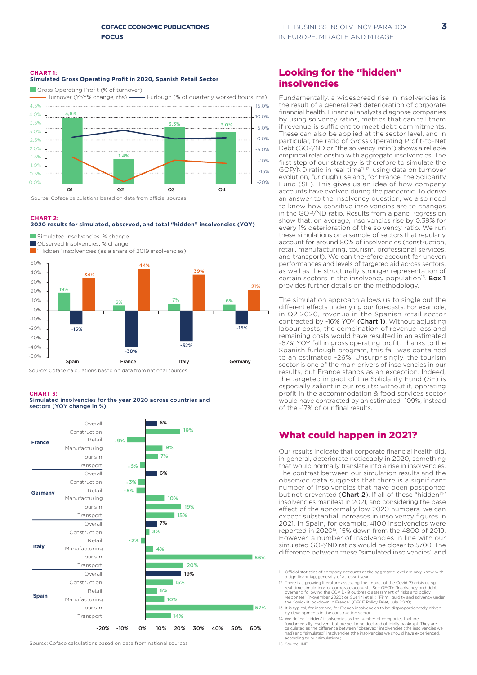#### **CHART 1: Simulated Gross Operating Profit in 2020, Spanish Retail Sector**

Gross Operating Profit (% of turnover)



Source: Coface calculations based on data from official sources

#### **CHART 2:**





Source: Coface calculations based on data from national sources

#### **CHART 3:**

Simulated insolvencies for the year 2020 across countries and sectors (YOY change in %)



## Looking for the "hidden" insolvencies

Fundamentally, a widespread rise in insolvencies is the result of a generalized deterioration of corporate financial health. Financial analysts diagnose companies by using solvency ratios, metrics that can tell them if revenue is sufficient to meet debt commitments. These can also be applied at the sector level, and in particular, the ratio of Gross Operating Profit-to-Net Debt (GOP/ND or "the solvency ratio") shows a reliable empirical relationship with aggregate insolvencies. The first step of our strategy is therefore to simulate the GOP/ND ratio in real time<sup>n 12</sup>, using data on turnover evolution, furlough use and, for France, the Solidarity Fund (SF). This gives us an idea of how company accounts have evolved during the pandemic. To derive an answer to the insolvency question, we also need to know how sensitive insolvencies are to changes in the GOP/ND ratio. Results from a panel regression show that, on average, insolvencies rise by 0.39% for every 1% deterioration of the solvency ratio. We run these simulations on a sample of sectors that regularly account for around 80% of insolvencies (construction, retail, manufacturing, tourism, professional services, and transport). We can therefore account for uneven performances and levels of targeted aid across sectors, as well as the structurally stronger representation of certain sectors in the insolvency population<sup>13</sup>. Box 1 provides further details on the methodology.

The simulation approach allows us to single out the different effects underlying our forecasts. For example, in Q2 2020, revenue in the Spanish retail sector contracted by -16% YOY (Chart 1). Without adjusting labour costs, the combination of revenue loss and remaining costs would have resulted in an estimated -67% YOY fall in gross operating profit. Thanks to the Spanish furlough program, this fall was contained to an estimated -26%. Unsurprisingly, the tourism sector is one of the main drivers of insolvencies in our results, but France stands as an exception. Indeed, the targeted impact of the Solidarity Fund (SF) is especially salient in our results: without it, operating profit in the accommodation & food services sector would have contracted by an estimated -109%, instead of the -17% of our final results.

### What could happen in 2021?

Our results indicate that corporate financial health did, in general, deteriorate noticeably in 2020, something that would normally translate into a rise in insolvencies. The contrast between our simulation results and the observed data suggests that there is a significant number of insolvencies that have been postponed but not prevented (Chart 2). If all of these "hidden<sup>14</sup> insolvencies manifest in 2021, and considering the base effect of the abnormally low 2020 numbers, we can expect substantial increases in insolvency figures in 2021. In Spain, for example, 4100 insolvencies were reported in 202015, 15% down from the 4800 of 2019. However, a number of insolvencies in line with our simulated GOP/ND ratios would be closer to 5700. The difference between these "simulated insolvencies" and

- 11 Official statistics of company accounts at the aggregate level are only know with a significant lag, generally of at least 1 year.
- 12 There is a growing literature assessing the impact of the Covid-19 crisis using<br>real-time simulations of corporate accounts. See OECD: "Insolvency and debt<br>overhang following the COVID-19 outbreak: assessment of risks a responses" (November 2020) or Guerini et al. : "Firm liquidity and solvency under the Covid-19 lockdown in France" (OFCE Policy Brief, July 2020).
- 13 It is typical, for instance, for French insolvencies to be disproportionately driven by developments in the construction sector.
- 14 We define "hidden" insolvencies as the number of companies that are<br>fundamentally insolvent but are yet to be declared officially bankrupt. They are<br>calculated as the difference between "observed" insolvencies (the inso had) and "simulated" insolvencies (the insolvencies we should have experienced, according to our simulations). 15 Source: INE